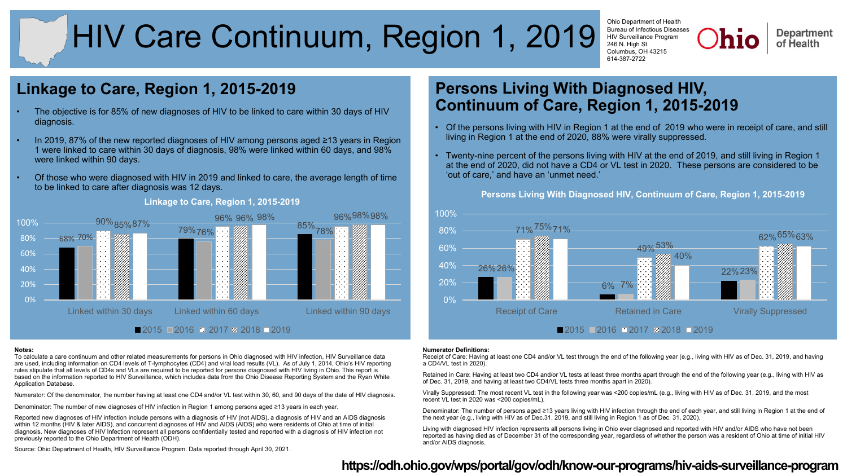# HIV Care Continuum, Region 1, 2019

Ohio Department of Health Bureau of Infectious Diseases HIV Surveillance Program 246 N. High St. Columbus, OH 43215 614-387-2722

**Department** of Health

# **Linkage to Care, Region 1, 2015-2019**

- The objective is for 85% of new diagnoses of HIV to be linked to care within 30 days of HIV diagnosis.
- In 2019, 87% of the new reported diagnoses of HIV among persons aged ≥13 years in Region 1 were linked to care within 30 days of diagnosis, 98% were linked within 60 days, and 98% were linked within 90 days.
- Of those who were diagnosed with HIV in 2019 and linked to care, the average length of time to be linked to care after diagnosis was 12 days.



#### **Linkage to Care, Region 1, 2015-2019**

#### **Notes:**

To calculate a care continuum and other related measurements for persons in Ohio diagnosed with HIV infection, HIV Surveillance data are used, including information on CD4 levels of T-lymphocytes (CD4) and viral load results (VL). As of July 1, 2014, Ohio's HIV reporting rules stipulate that all levels of CD4s and VLs are required to be reported for persons diagnosed with HIV living in Ohio. This report is based on the information reported to HIV Surveillance, which includes data from the Ohio Disease Reporting System and the Ryan White Application Database.

Numerator: Of the denominator, the number having at least one CD4 and/or VL test within 30, 60, and 90 days of the date of HIV diagnosis.

Denominator: The number of new diagnoses of HIV infection in Region 1 among persons aged ≥13 years in each year.

Reported new diagnoses of HIV infection include persons with a diagnosis of HIV (not AIDS), a diagnosis of HIV and an AIDS diagnosis within 12 months (HIV & later AIDS), and concurrent diagnoses of HIV and AIDS (AIDS) who were residents of Ohio at time of initial diagnosis. New diagnoses of HIV Infection represent all persons confidentially tested and reported with a diagnosis of HIV infection not previously reported to the Ohio Department of Health (ODH).

# **Continuum of Care, Region 1, 2015-2019** • Of the persons living with HIV in Region 1 at the end of 2019 who were in receipt of care, and still living in Region 1 at the end of 2020, 88% were virally suppressed.

**Persons Living With Diagnosed HIV,** 

• Twenty-nine percent of the persons living with HIV at the end of 2019, and still living in Region 1 at the end of 2020, did not have a CD4 or VL test in 2020. These persons are considered to be 'out of care,' and have an 'unmet need.'



## **Persons Living With Diagnosed HIV, Continuum of Care, Region 1, 2015-2019**

#### **Numerator Definitions:**

Receipt of Care: Having at least one CD4 and/or VL test through the end of the following year (e.g., living with HIV as of Dec. 31, 2019, and having a CD4/VL test in 2020).

Retained in Care: Having at least two CD4 and/or VL tests at least three months apart through the end of the following year (e.g., living with HIV as of Dec. 31, 2019, and having at least two CD4/VL tests three months apart in 2020).

Virally Suppressed: The most recent VL test in the following year was <200 copies/mL (e.g., living with HIV as of Dec. 31, 2019, and the most recent VL test in 2020 was <200 copies/mL).

Denominator: The number of persons aged ≥13 years living with HIV infection through the end of each year, and still living in Region 1 at the end of the next year (e.g., living with HIV as of Dec.31, 2019, and still living in Region 1 as of Dec. 31, 2020).

Living with diagnosed HIV infection represents all persons living in Ohio ever diagnosed and reported with HIV and/or AIDS who have not been reported as having died as of December 31 of the corresponding year, regardless of whether the person was a resident of Ohio at time of initial HIV and/or AIDS diagnosis.

Source: Ohio Department of Health, HIV Surveillance Program. Data reported through April 30, 2021.

## **<https://odh.ohio.gov/wps/portal/gov/odh/know-our-programs/hiv-aids-surveillance-program>**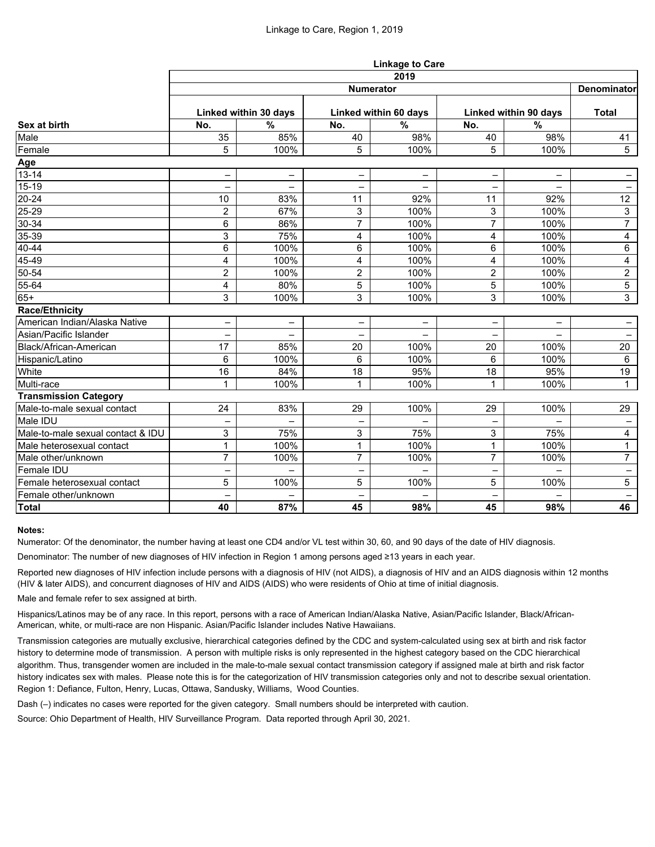|                                   | <b>Linkage to Care</b> |                          |                       |                          |                          |                          |                   |  |  |  |
|-----------------------------------|------------------------|--------------------------|-----------------------|--------------------------|--------------------------|--------------------------|-------------------|--|--|--|
|                                   | 2019                   |                          |                       |                          |                          |                          |                   |  |  |  |
| Sex at birth                      | <b>Numerator</b>       |                          |                       |                          |                          |                          |                   |  |  |  |
|                                   | Linked within 30 days  |                          | Linked within 60 days |                          | Linked within 90 days    |                          | <b>Total</b>      |  |  |  |
|                                   | No.                    | $\frac{0}{0}$            | No.                   | $\frac{0}{0}$            | No.                      | $\%$                     |                   |  |  |  |
| Male                              | 35                     | 85%                      | 40                    | 98%                      | 40                       | 98%                      | 41                |  |  |  |
| Female                            | 5                      | 100%                     | 5                     | 100%                     | 5                        | 100%                     | $5\phantom{.0}$   |  |  |  |
| Age                               |                        |                          |                       |                          |                          |                          |                   |  |  |  |
| $13 - 14$                         | $\qquad \qquad -$      | $\qquad \qquad -$        | $\qquad \qquad -$     | $\qquad \qquad -$        | -                        | $\overline{\phantom{0}}$ | $\qquad \qquad -$ |  |  |  |
| $15-19$                           |                        | $\overline{\phantom{0}}$ |                       | —                        |                          |                          | -                 |  |  |  |
| $20 - 24$                         | 10                     | 83%                      | 11                    | 92%                      | 11                       | 92%                      | 12                |  |  |  |
| 25-29                             | $\overline{2}$         | 67%                      | 3                     | 100%                     | 3                        | 100%                     | 3                 |  |  |  |
| $30 - 34$                         | 6                      | 86%                      | $\overline{7}$        | 100%                     | $\overline{7}$           | 100%                     | $\overline{7}$    |  |  |  |
| $35 - 39$                         | 3                      | 75%                      | 4                     | 100%                     | 4                        | 100%                     | 4                 |  |  |  |
| $40 - 44$                         | 6                      | 100%                     | 6                     | 100%                     | 6                        | 100%                     | $\,6\,$           |  |  |  |
| 45-49                             | 4                      | 100%                     | 4                     | 100%                     | 4                        | 100%                     | 4                 |  |  |  |
| $50 - 54$                         | $\overline{2}$         | 100%                     | $\overline{2}$        | 100%                     | $\overline{2}$           | 100%                     | $\overline{2}$    |  |  |  |
| 55-64                             | 4                      | 80%                      | 5                     | 100%                     | 5                        | 100%                     | $\overline{5}$    |  |  |  |
| $65+$                             | 3                      | 100%                     | 3                     | 100%                     | 3                        | 100%                     | 3                 |  |  |  |
| <b>Race/Ethnicity</b>             |                        |                          |                       |                          |                          |                          |                   |  |  |  |
| American Indian/Alaska Native     | -                      | $\qquad \qquad -$        | $\qquad \qquad -$     | $\qquad \qquad -$        | $\overline{\phantom{0}}$ | $\overline{\phantom{0}}$ | -                 |  |  |  |
| Asian/Pacific Islander            |                        |                          |                       |                          |                          |                          | -                 |  |  |  |
| Black/African-American            | 17                     | 85%                      | 20                    | 100%                     | 20                       | 100%                     | 20                |  |  |  |
| Hispanic/Latino                   | 6                      | 100%                     | 6                     | 100%                     | 6                        | 100%                     | 6                 |  |  |  |
| White                             | 16                     | 84%                      | 18                    | 95%                      | 18                       | 95%                      | 19                |  |  |  |
| Multi-race                        | 1                      | 100%                     | 1                     | 100%                     | 1                        | 100%                     | $\mathbf{1}$      |  |  |  |
| <b>Transmission Category</b>      |                        |                          |                       |                          |                          |                          |                   |  |  |  |
| Male-to-male sexual contact       | 24                     | 83%                      | 29                    | 100%                     | 29                       | 100%                     | 29                |  |  |  |
| Male IDU                          |                        | $\overline{\phantom{0}}$ |                       | $\qquad \qquad -$        |                          | $\qquad \qquad -$        |                   |  |  |  |
| Male-to-male sexual contact & IDU | 3                      | 75%                      | 3                     | 75%                      | 3                        | 75%                      | $\overline{4}$    |  |  |  |
| Male heterosexual contact         | 1                      | 100%                     | $\blacktriangleleft$  | 100%                     | $\overline{1}$           | 100%                     | $\mathbf{1}$      |  |  |  |
| Male other/unknown                | $\overline{7}$         | 100%                     | $\overline{7}$        | 100%                     | $\overline{7}$           | 100%                     | 7 <sup>1</sup>    |  |  |  |
| <b>Female IDU</b>                 | -                      | $\qquad \qquad -$        | -                     | $\overline{\phantom{0}}$ | $\overline{\phantom{m}}$ | $\overline{\phantom{0}}$ | $\qquad \qquad -$ |  |  |  |
| Female heterosexual contact       | 5                      | 100%                     | 5                     | 100%                     | 5                        | 100%                     | $5\phantom{.0}$   |  |  |  |
| Female other/unknown              | —                      | $\overline{\phantom{0}}$ | $\qquad \qquad -$     | $\qquad \qquad -$        | $\overline{\phantom{m}}$ | $\overline{\phantom{m}}$ | $\qquad \qquad -$ |  |  |  |
| <b>Total</b>                      | 40                     | 87%                      | 45                    | 98%                      | 45                       | 98%                      | 46                |  |  |  |

### **Notes:**

Numerator: Of the denominator, the number having at least one CD4 and/or VL test within 30, 60, and 90 days of the date of HIV diagnosis.

Denominator: The number of new diagnoses of HIV infection in Region 1 among persons aged ≥13 years in each year.

Reported new diagnoses of HIV infection include persons with a diagnosis of HIV (not AIDS), a diagnosis of HIV and an AIDS diagnosis within 12 months (HIV & later AIDS), and concurrent diagnoses of HIV and AIDS (AIDS) who were residents of Ohio at time of initial diagnosis.

Male and female refer to sex assigned at birth.

Hispanics/Latinos may be of any race. In this report, persons with a race of American Indian/Alaska Native, Asian/Pacific Islander, Black/African-American, white, or multi-race are non Hispanic. Asian/Pacific Islander includes Native Hawaiians.

Transmission categories are mutually exclusive, hierarchical categories defined by the CDC and system-calculated using sex at birth and risk factor history to determine mode of transmission. A person with multiple risks is only represented in the highest category based on the CDC hierarchical algorithm. Thus, transgender women are included in the male-to-male sexual contact transmission category if assigned male at birth and risk factor history indicates sex with males. Please note this is for the categorization of HIV transmission categories only and not to describe sexual orientation. Region 1: Defiance, Fulton, Henry, Lucas, Ottawa, Sandusky, Williams, Wood Counties.

Dash (–) indicates no cases were reported for the given category. Small numbers should be interpreted with caution.

Source: Ohio Department of Health, HIV Surveillance Program. Data reported through April 30, 2021.